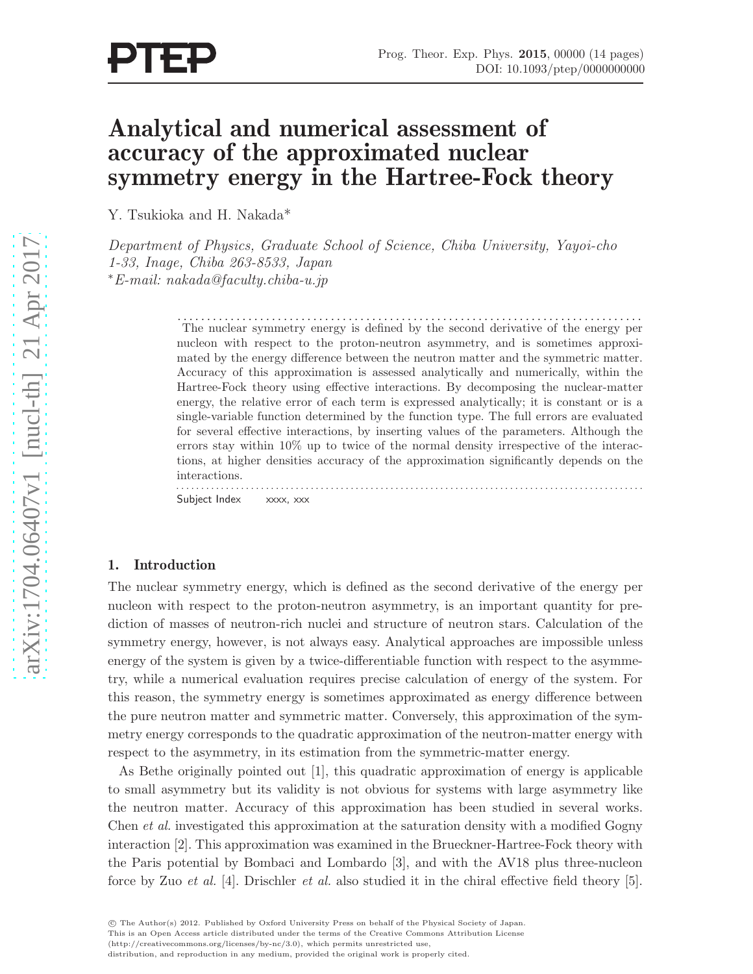# Analytical and numerical assessment of accuracy of the approximated nuclear symmetry energy in the Hartree-Fock theory

Y. Tsukioka and H. Nakada\*

Department of Physics, Graduate School of Science, Chiba University, Yayoi-cho 1-33, Inage, Chiba 263-8533, Japan <sup>∗</sup>E-mail: nakada@faculty.chiba-u.jp

> . . . . . . . . . . . . . . . . . . . . . . . . . . . . . . . . . . . . . . . . . . . . . . . . . . . . . . . . . . . . . . . . . . . . . . . . . . . . . . . The nuclear symmetry energy is defined by the second derivative of the energy per nucleon with respect to the proton-neutron asymmetry, and is sometimes approximated by the energy difference between the neutron matter and the symmetric matter. Accuracy of this approximation is assessed analytically and numerically, within the Hartree-Fock theory using effective interactions. By decomposing the nuclear-matter energy, the relative error of each term is expressed analytically; it is constant or is a single-variable function determined by the function type. The full errors are evaluated for several effective interactions, by inserting values of the parameters. Although the errors stay within 10% up to twice of the normal density irrespective of the interactions, at higher densities accuracy of the approximation significantly depends on the interactions. . . . . . . . . . . . . . . . . . . . . . . . . . . . . . . . . . . . . . . . . . . . . . . . . . . . . . . . . . . . . . . . . . . . . . . . . . . . . . . . . . . . . . . . . . . . . . .

Subject Index xxxx, xxx

### 1. Introduction

The nuclear symmetry energy, which is defined as the second derivative of the energy per nucleon with respect to the proton-neutron asymmetry, is an important quantity for prediction of masses of neutron-rich nuclei and structure of neutron stars. Calculation of the symmetry energy, however, is not always easy. Analytical approaches are impossible unless energy of the system is given by a twice-differentiable function with respect to the asymmetry, while a numerical evaluation requires precise calculation of energy of the system. For this reason, the symmetry energy is sometimes approximated as energy difference between the pure neutron matter and symmetric matter. Conversely, this approximation of the symmetry energy corresponds to the quadratic approximation of the neutron-matter energy with respect to the asymmetry, in its estimation from the symmetric-matter energy.

As Bethe originally pointed out [1], this quadratic approximation of energy is applicable to small asymmetry but its validity is not obvious for systems with large asymmetry like the neutron matter. Accuracy of this approximation has been studied in several works. Chen et al. investigated this approximation at the saturation density with a modified Gogny interaction [2]. This approximation was examined in the Brueckner-Hartree-Fock theory with the Paris potential by Bombaci and Lombardo [3], and with the AV18 plus three-nucleon force by Zuo *et al.* [4]. Drischler *et al.* also studied it in the chiral effective field theory [5].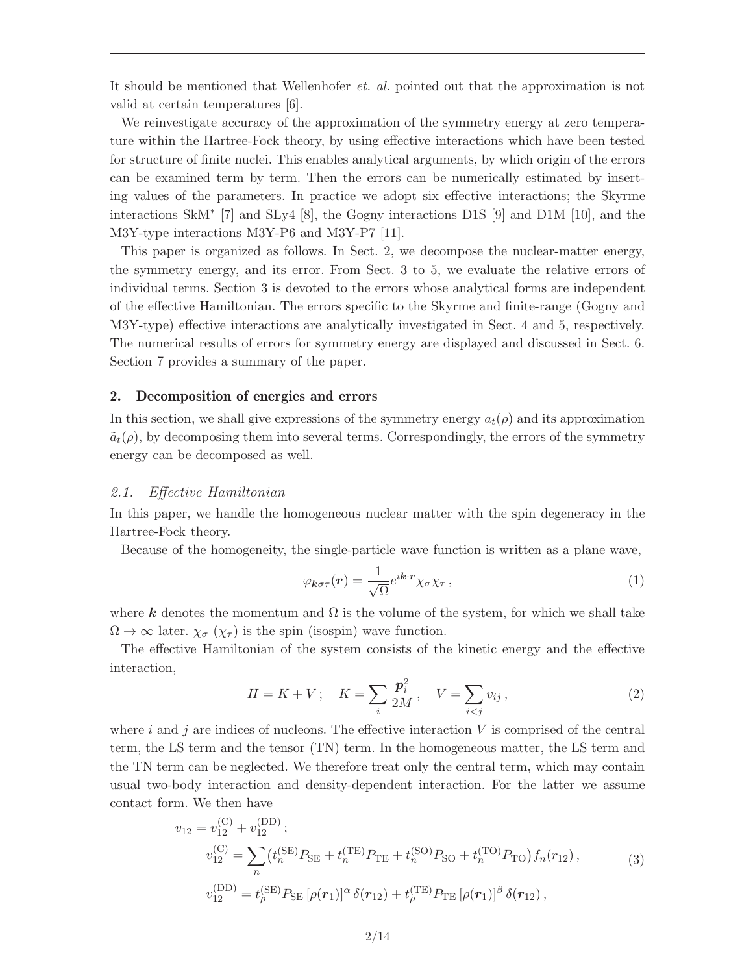It should be mentioned that Wellenhofer et. al. pointed out that the approximation is not valid at certain temperatures [6].

We reinvestigate accuracy of the approximation of the symmetry energy at zero temperature within the Hartree-Fock theory, by using effective interactions which have been tested for structure of finite nuclei. This enables analytical arguments, by which origin of the errors can be examined term by term. Then the errors can be numerically estimated by inserting values of the parameters. In practice we adopt six effective interactions; the Skyrme interactions SkM<sup>∗</sup> [7] and SLy4 [8], the Gogny interactions D1S [9] and D1M [10], and the M3Y-type interactions M3Y-P6 and M3Y-P7 [11].

This paper is organized as follows. In Sect. 2, we decompose the nuclear-matter energy, the symmetry energy, and its error. From Sect. 3 to 5, we evaluate the relative errors of individual terms. Section 3 is devoted to the errors whose analytical forms are independent of the effective Hamiltonian. The errors specific to the Skyrme and finite-range (Gogny and M3Y-type) effective interactions are analytically investigated in Sect. 4 and 5, respectively. The numerical results of errors for symmetry energy are displayed and discussed in Sect. 6. Section 7 provides a summary of the paper.

#### 2. Decomposition of energies and errors

In this section, we shall give expressions of the symmetry energy  $a_t(\rho)$  and its approximation  $\tilde{a}_t(\rho)$ , by decomposing them into several terms. Correspondingly, the errors of the symmetry energy can be decomposed as well.

#### 2.1. Effective Hamiltonian

In this paper, we handle the homogeneous nuclear matter with the spin degeneracy in the Hartree-Fock theory.

Because of the homogeneity, the single-particle wave function is written as a plane wave,

$$
\varphi_{\mathbf{k}\sigma\tau}(\mathbf{r}) = \frac{1}{\sqrt{\Omega}} e^{i\mathbf{k}\cdot\mathbf{r}} \chi_{\sigma} \chi_{\tau} , \qquad (1)
$$

where k denotes the momentum and  $\Omega$  is the volume of the system, for which we shall take  $\Omega \to \infty$  later.  $\chi_{\sigma}(\chi_{\tau})$  is the spin (isospin) wave function.

The effective Hamiltonian of the system consists of the kinetic energy and the effective interaction,

$$
H = K + V; \quad K = \sum_{i} \frac{p_i^2}{2M}, \quad V = \sum_{i < j} v_{ij}, \tag{2}
$$

where i and j are indices of nucleons. The effective interaction  $V$  is comprised of the central term, the LS term and the tensor (TN) term. In the homogeneous matter, the LS term and the TN term can be neglected. We therefore treat only the central term, which may contain usual two-body interaction and density-dependent interaction. For the latter we assume contact form. We then have

$$
v_{12} = v_{12}^{(\text{C})} + v_{12}^{(\text{DD})};
$$
  
\n
$$
v_{12}^{(\text{C})} = \sum_{n} (t_{n}^{(\text{SE})} P_{\text{SE}} + t_{n}^{(\text{TE})} P_{\text{TE}} + t_{n}^{(\text{SO})} P_{\text{SO}} + t_{n}^{(\text{TO})} P_{\text{TO}}) f_{n}(r_{12}),
$$
  
\n
$$
v_{12}^{(\text{DD})} = t_{\rho}^{(\text{SE})} P_{\text{SE}} [\rho(\mathbf{r}_{1})]^{\alpha} \delta(\mathbf{r}_{12}) + t_{\rho}^{(\text{TE})} P_{\text{TE}} [\rho(\mathbf{r}_{1})]^{\beta} \delta(\mathbf{r}_{12}),
$$
\n(3)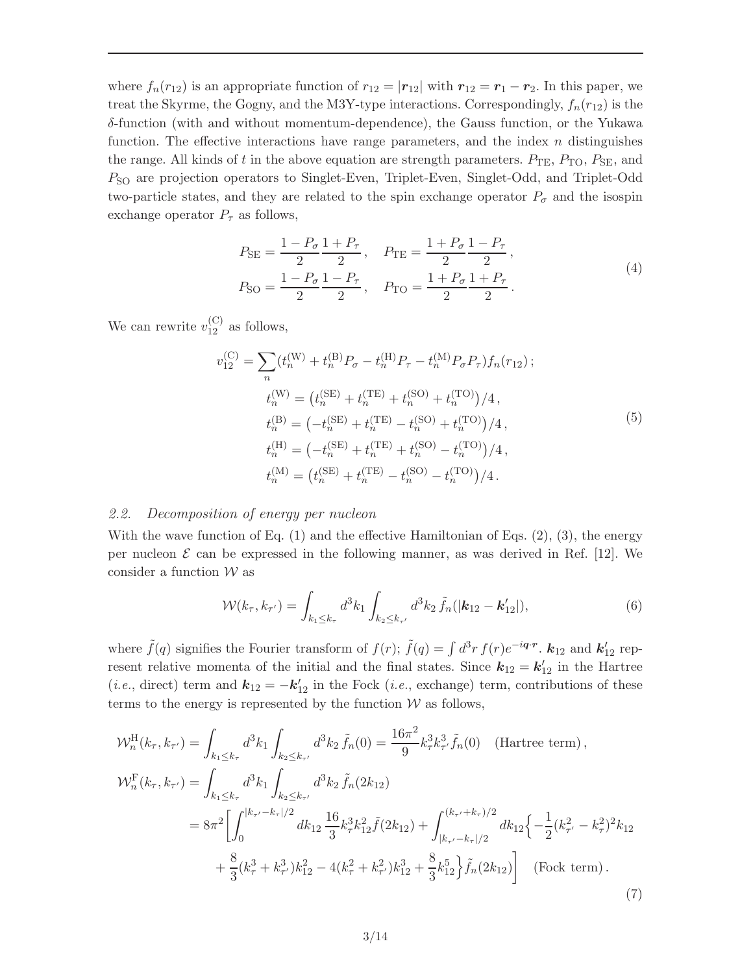where  $f_n(r_{12})$  is an appropriate function of  $r_{12} = |r_{12}|$  with  $r_{12} = r_1 - r_2$ . In this paper, we treat the Skyrme, the Gogny, and the M3Y-type interactions. Correspondingly,  $f_n(r_{12})$  is the  $\delta$ -function (with and without momentum-dependence), the Gauss function, or the Yukawa function. The effective interactions have range parameters, and the index  $n$  distinguishes the range. All kinds of t in the above equation are strength parameters.  $P_{\text{TE}}$ ,  $P_{\text{TO}}$ ,  $P_{\text{SE}}$ , and PSO are projection operators to Singlet-Even, Triplet-Even, Singlet-Odd, and Triplet-Odd two-particle states, and they are related to the spin exchange operator  $P_{\sigma}$  and the isospin exchange operator  $P_{\tau}$  as follows,

$$
P_{\text{SE}} = \frac{1 - P_{\sigma}}{2} \frac{1 + P_{\tau}}{2}, \quad P_{\text{TE}} = \frac{1 + P_{\sigma}}{2} \frac{1 - P_{\tau}}{2},
$$
  
\n
$$
P_{\text{SO}} = \frac{1 - P_{\sigma}}{2} \frac{1 - P_{\tau}}{2}, \quad P_{\text{TO}} = \frac{1 + P_{\sigma}}{2} \frac{1 + P_{\tau}}{2}.
$$
\n(4)

We can rewrite  $v_{12}^{(C)}$  as follows,

$$
v_{12}^{(C)} = \sum_{n} (t_{n}^{(W)} + t_{n}^{(B)}P_{\sigma} - t_{n}^{(H)}P_{\tau} - t_{n}^{(M)}P_{\sigma}P_{\tau})f_{n}(r_{12});
$$
  
\n
$$
t_{n}^{(W)} = (t_{n}^{(SE)} + t_{n}^{(TE)} + t_{n}^{(SO)} + t_{n}^{(TO)})/4,
$$
  
\n
$$
t_{n}^{(B)} = (-t_{n}^{(SE)} + t_{n}^{(TE)} - t_{n}^{(SO)} + t_{n}^{(TO)})/4,
$$
  
\n
$$
t_{n}^{(H)} = (-t_{n}^{(SE)} + t_{n}^{(TE)} + t_{n}^{(SO)} - t_{n}^{(TO)})/4,
$$
  
\n
$$
t_{n}^{(M)} = (t_{n}^{(SE)} + t_{n}^{(TE)} - t_{n}^{(SO)} - t_{n}^{(TO)})/4.
$$
 (5)

# 2.2. Decomposition of energy per nucleon

With the wave function of Eq.  $(1)$  and the effective Hamiltonian of Eqs.  $(2)$ ,  $(3)$ , the energy per nucleon  $\mathcal E$  can be expressed in the following manner, as was derived in Ref. [12]. We consider a function  $\mathcal W$  as

$$
\mathcal{W}(k_{\tau}, k_{\tau'}) = \int_{k_1 \le k_{\tau}} d^3 k_1 \int_{k_2 \le k_{\tau'}} d^3 k_2 \, \tilde{f}_n(|\mathbf{k}_{12} - \mathbf{k}'_{12}|), \tag{6}
$$

where  $\tilde{f}(q)$  signifies the Fourier transform of  $f(r)$ ;  $\tilde{f}(q) = \int d^3r f(r)e^{-i\boldsymbol{q}\cdot \boldsymbol{r}}$ .  $k_{12}$  and  $k'_{12}$  represent relative momenta of the initial and the final states. Since  $k_{12} = k'_{12}$  in the Hartree (*i.e.*, direct) term and  $\mathbf{k}_{12} = -\mathbf{k}'_{12}$  in the Fock (*i.e.*, exchange) term, contributions of these terms to the energy is represented by the function  $W$  as follows,

$$
\mathcal{W}_{n}^{\text{H}}(k_{\tau},k_{\tau'}) = \int_{k_{1} \leq k_{\tau}} d^{3}k_{1} \int_{k_{2} \leq k_{\tau'}} d^{3}k_{2} \tilde{f}_{n}(0) = \frac{16\pi^{2}}{9} k_{\tau}^{3} k_{\tau'}^{3} \tilde{f}_{n}(0) \quad \text{(Hartree term)},
$$
\n
$$
\mathcal{W}_{n}^{\text{F}}(k_{\tau},k_{\tau'}) = \int_{k_{1} \leq k_{\tau}} d^{3}k_{1} \int_{k_{2} \leq k_{\tau'}} d^{3}k_{2} \tilde{f}_{n}(2k_{12})
$$
\n
$$
= 8\pi^{2} \left[ \int_{0}^{|k_{\tau'}-k_{\tau}|/2} dk_{12} \frac{16}{3} k_{\tau}^{3} k_{12}^{2} \tilde{f}(2k_{12}) + \int_{|k_{\tau'}-k_{\tau}|/2}^{(k_{\tau'}+k_{\tau})/2} dk_{12} \left\{ -\frac{1}{2} (k_{\tau'}^{2} - k_{\tau}^{2})^{2} k_{12} \right. \right.
$$
\n
$$
+ \frac{8}{3} (k_{\tau}^{3} + k_{\tau'}^{3}) k_{12}^{2} - 4 (k_{\tau}^{2} + k_{\tau'}^{2}) k_{12}^{3} + \frac{8}{3} k_{12}^{5} \left\{ \tilde{f}_{n}(2k_{12}) \right] \quad \text{(Fock term)}.
$$
\n(7)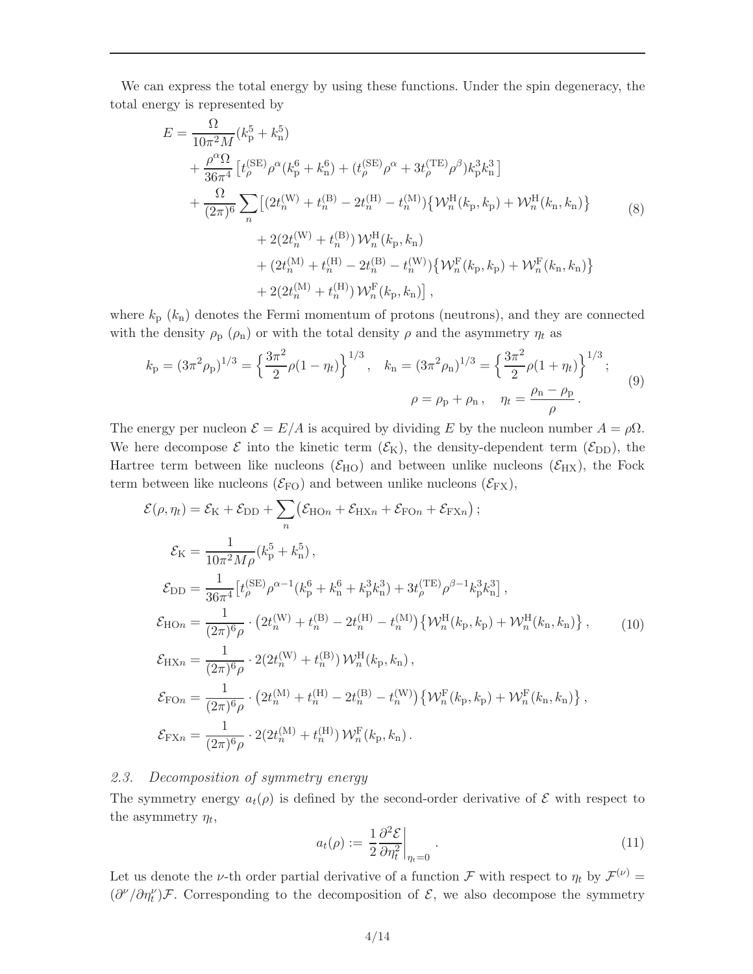We can express the total energy by using these functions. Under the spin degeneracy, the total energy is represented by

$$
E = \frac{\Omega}{10\pi^2 M} (k_p^5 + k_n^5) + \frac{\rho^{\alpha}\Omega}{36\pi^4} \left[ t_{\rho}^{(\text{SE})} \rho^{\alpha} (k_p^6 + k_n^6) + (t_{\rho}^{(\text{SE})} \rho^{\alpha} + 3t_{\rho}^{(\text{TE})} \rho^{\beta}) k_p^3 k_n^3 \right] + \frac{\Omega}{(2\pi)^6} \sum_n \left[ (2t_n^{(\text{W})} + t_n^{(\text{B})} - 2t_n^{(\text{H})} - t_n^{(\text{M})}) \{ \mathcal{W}_n^{\text{H}}(k_p, k_p) + \mathcal{W}_n^{\text{H}}(k_n, k_n) \right] + 2(2t_n^{(\text{W})} + t_n^{(\text{B})}) \mathcal{W}_n^{\text{H}}(k_p, k_n) + (2t_n^{(\text{M})} + t_n^{(\text{H})} - 2t_n^{(\text{B})} - t_n^{(\text{W})}) \{ \mathcal{W}_n^{\text{F}}(k_p, k_p) + \mathcal{W}_n^{\text{F}}(k_n, k_n) \} + 2(2t_n^{(\text{M})} + t_n^{(\text{H})}) \mathcal{W}_n^{\text{F}}(k_p, k_n) \right],
$$

where  $k_{\rm p}$  ( $k_{\rm n}$ ) denotes the Fermi momentum of protons (neutrons), and they are connected with the density  $\rho_p$  ( $\rho_n$ ) or with the total density  $\rho$  and the asymmetry  $\eta_t$  as

$$
k_{\rm p} = (3\pi^2 \rho_{\rm p})^{1/3} = \left\{ \frac{3\pi^2}{2} \rho (1 - \eta_t) \right\}^{1/3}, \quad k_{\rm n} = (3\pi^2 \rho_{\rm n})^{1/3} = \left\{ \frac{3\pi^2}{2} \rho (1 + \eta_t) \right\}^{1/3};
$$
  

$$
\rho = \rho_{\rm p} + \rho_{\rm n} , \quad \eta_t = \frac{\rho_{\rm n} - \rho_{\rm p}}{\rho} .
$$
 (9)

The energy per nucleon  $\mathcal{E} = E/A$  is acquired by dividing E by the nucleon number  $A = \rho \Omega$ . We here decompose  $\mathcal{E}$  into the kinetic term  $(\mathcal{E}_{K})$ , the density-dependent term  $(\mathcal{E}_{DD})$ , the Hartree term between like nucleons ( $\mathcal{E}_{HO}$ ) and between unlike nucleons ( $\mathcal{E}_{HX}$ ), the Fock term between like nucleons  $(\mathcal{E}_{FO})$  and between unlike nucleons  $(\mathcal{E}_{FX})$ ,

$$
\mathcal{E}(\rho,\eta_{t}) = \mathcal{E}_{K} + \mathcal{E}_{DD} + \sum_{n} (\mathcal{E}_{HOn} + \mathcal{E}_{HXn} + \mathcal{E}_{FOn} + \mathcal{E}_{FXn});
$$
\n
$$
\mathcal{E}_{K} = \frac{1}{10\pi^{2}M\rho} (k_{p}^{5} + k_{n}^{5}),
$$
\n
$$
\mathcal{E}_{DD} = \frac{1}{36\pi^{4}} \left[ t_{\rho}^{(SE)} \rho^{\alpha - 1} (k_{p}^{6} + k_{n}^{6} + k_{p}^{3}k_{n}^{3}) + 3t_{\rho}^{(TE)} \rho^{\beta - 1} k_{p}^{3}k_{n}^{3} \right],
$$
\n
$$
\mathcal{E}_{HOn} = \frac{1}{(2\pi)^{6}\rho} \cdot (2t_{n}^{(W)} + t_{n}^{(B)} - 2t_{n}^{(H)} - t_{n}^{(M)}) \left\{ \mathcal{W}_{n}^{H}(k_{p}, k_{p}) + \mathcal{W}_{n}^{H}(k_{n}, k_{n}) \right\}, \qquad (10)
$$
\n
$$
\mathcal{E}_{HXn} = \frac{1}{(2\pi)^{6}\rho} \cdot 2(2t_{n}^{(W)} + t_{n}^{(B)}) \mathcal{W}_{n}^{H}(k_{p}, k_{n}),
$$
\n
$$
\mathcal{E}_{FOn} = \frac{1}{(2\pi)^{6}\rho} \cdot (2t_{n}^{(M)} + t_{n}^{(H)} - 2t_{n}^{(B)} - t_{n}^{(W)}) \left\{ \mathcal{W}_{n}^{F}(k_{p}, k_{p}) + \mathcal{W}_{n}^{F}(k_{n}, k_{n}) \right\},
$$
\n
$$
\mathcal{E}_{FXn} = \frac{1}{(2\pi)^{6}\rho} \cdot 2(2t_{n}^{(M)} + t_{n}^{(H)}) \mathcal{W}_{n}^{F}(k_{p}, k_{n}).
$$

# 2.3. Decomposition of symmetry energy

The symmetry energy  $a_t(\rho)$  is defined by the second-order derivative of  $\mathcal E$  with respect to the asymmetry  $\eta_t$ ,

$$
a_t(\rho) := \left. \frac{1}{2} \frac{\partial^2 \mathcal{E}}{\partial \eta_t^2} \right|_{\eta_t = 0} . \tag{11}
$$

Let us denote the *v*-th order partial derivative of a function  $\mathcal F$  with respect to  $\eta_t$  by  $\mathcal F^{(\nu)}$  =  $(\partial^{\nu}/\partial \eta^{\nu}_t)\mathcal{F}$ . Corresponding to the decomposition of  $\mathcal{E}$ , we also decompose the symmetry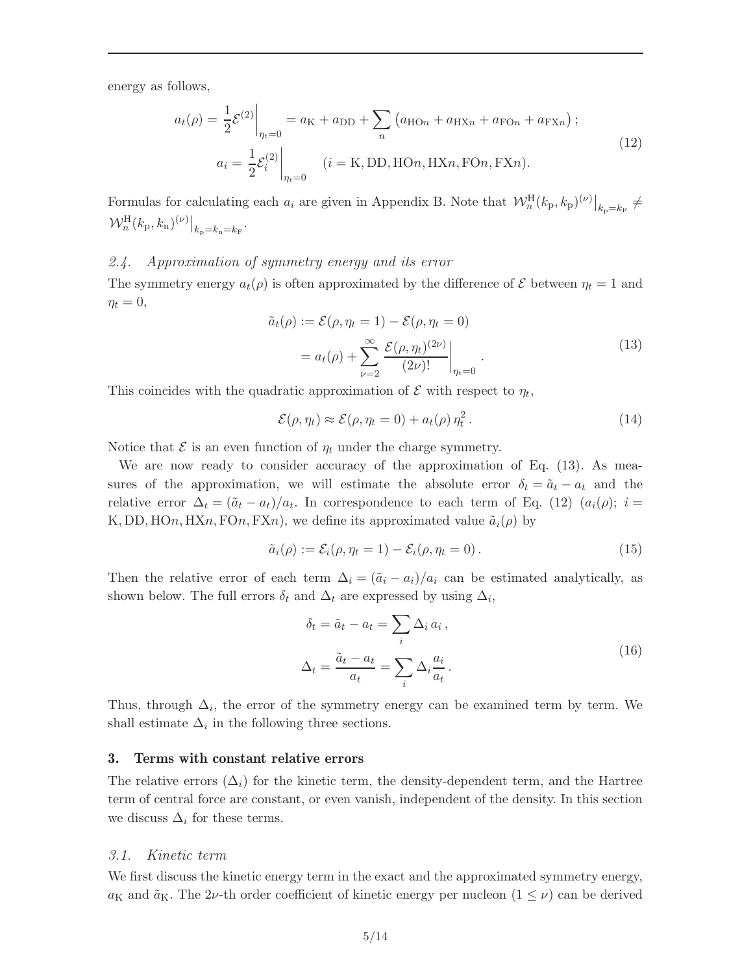energy as follows,

$$
a_t(\rho) = \frac{1}{2} \mathcal{E}^{(2)} \Big|_{\eta_t = 0} = a_K + a_{DD} + \sum_n \left( a_{HOn} + a_{HKn} + a_{FOn} + a_{FXn} \right);
$$
  
\n
$$
a_i = \frac{1}{2} \mathcal{E}_i^{(2)} \Big|_{\eta_t = 0} \quad (i = K, DD, HOn, HXn, FOn, FXn).
$$
\n(12)

Formulas for calculating each  $a_i$  are given in Appendix B. Note that  $\mathcal{W}_n^{\text{H}}(k_{\text{p}},k_{\text{p}})^{(\nu)}\big|_{k_{\text{p}}=k_{\text{F}}} \neq$  $\mathcal{W}_n^{\rm H}(k_{\rm p},k_{\rm n})^{(\nu)}\big|_{k_{\rm p}=k_{\rm n}=k_{\rm F}}.$ 

#### 2.4. Approximation of symmetry energy and its error

The symmetry energy  $a_t(\rho)$  is often approximated by the difference of  $\mathcal E$  between  $\eta_t = 1$  and  $\eta_t = 0,$ 

$$
\tilde{a}_t(\rho) := \mathcal{E}(\rho, \eta_t = 1) - \mathcal{E}(\rho, \eta_t = 0)
$$

$$
= a_t(\rho) + \sum_{\nu=2}^{\infty} \frac{\mathcal{E}(\rho, \eta_t)^{(2\nu)}}{(2\nu)!} \bigg|_{\eta_t = 0}.
$$
\n(13)

This coincides with the quadratic approximation of  $\mathcal E$  with respect to  $\eta_t$ ,

$$
\mathcal{E}(\rho, \eta_t) \approx \mathcal{E}(\rho, \eta_t = 0) + a_t(\rho) \eta_t^2. \tag{14}
$$

Notice that  $\mathcal E$  is an even function of  $\eta_t$  under the charge symmetry.

We are now ready to consider accuracy of the approximation of Eq. (13). As measures of the approximation, we will estimate the absolute error  $\delta_t = \tilde{a}_t - a_t$  and the relative error  $\Delta_t = (\tilde{a}_t - a_t)/a_t$ . In correspondence to each term of Eq. (12)  $(a_i(\rho))$ ;  $i =$ K, DD, HOn, HXn, FOn, FXn), we define its approximated value  $\tilde{a}_i(\rho)$  by

$$
\tilde{a}_i(\rho) := \mathcal{E}_i(\rho, \eta_t = 1) - \mathcal{E}_i(\rho, \eta_t = 0).
$$
\n(15)

Then the relative error of each term  $\Delta_i = (\tilde{a}_i - a_i)/a_i$  can be estimated analytically, as shown below. The full errors  $\delta_t$  and  $\Delta_t$  are expressed by using  $\Delta_i$ ,

$$
\delta_t = \tilde{a}_t - a_t = \sum_i \Delta_i a_i ,
$$
  

$$
\Delta_t = \frac{\tilde{a}_t - a_t}{a_t} = \sum_i \Delta_i \frac{a_i}{a_t} .
$$
 (16)

Thus, through  $\Delta_i$ , the error of the symmetry energy can be examined term by term. We shall estimate  $\Delta_i$  in the following three sections.

#### 3. Terms with constant relative errors

The relative errors  $(\Delta_i)$  for the kinetic term, the density-dependent term, and the Hartree term of central force are constant, or even vanish, independent of the density. In this section we discuss  $\Delta_i$  for these terms.

#### 3.1. Kinetic term

We first discuss the kinetic energy term in the exact and the approximated symmetry energy,  $a_K$  and  $\tilde{a}_K$ . The 2*ν*-th order coefficient of kinetic energy per nucleon  $(1 \leq \nu)$  can be derived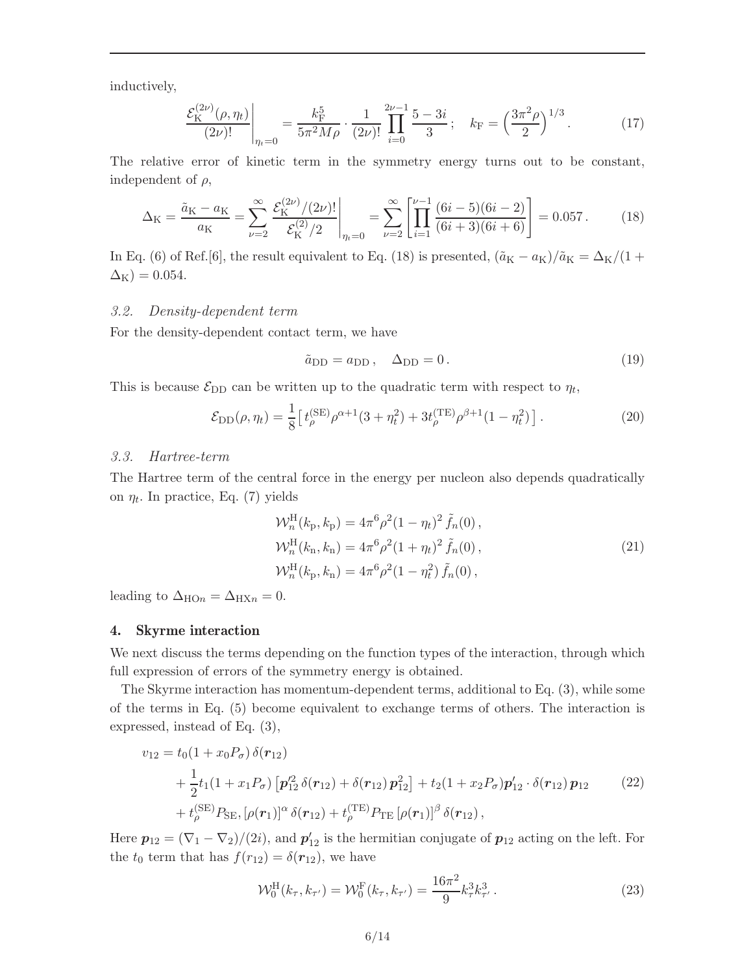inductively,

$$
\frac{\mathcal{E}_{\mathcal{K}}^{(2\nu)}(\rho,\eta_t)}{(2\nu)!}\Big|_{\eta_t=0} = \frac{k_{\mathcal{F}}^5}{5\pi^2 M \rho} \cdot \frac{1}{(2\nu)!} \prod_{i=0}^{2\nu-1} \frac{5-3i}{3}; \quad k_{\mathcal{F}} = \left(\frac{3\pi^2 \rho}{2}\right)^{1/3}.
$$
 (17)

The relative error of kinetic term in the symmetry energy turns out to be constant, independent of  $\rho$ ,

$$
\Delta_{\rm K} = \frac{\tilde{a}_{\rm K} - a_{\rm K}}{a_{\rm K}} = \sum_{\nu=2}^{\infty} \frac{\mathcal{E}_{\rm K}^{(2\nu)}/(2\nu)!}{\mathcal{E}_{\rm K}^{(2)}/2} \bigg|_{\eta_t=0} = \sum_{\nu=2}^{\infty} \left[ \prod_{i=1}^{\nu-1} \frac{(6i-5)(6i-2)}{(6i+3)(6i+6)} \right] = 0.057. \tag{18}
$$

In Eq. (6) of Ref.[6], the result equivalent to Eq. (18) is presented,  $(\tilde{a}_{K} - a_{K})/\tilde{a}_{K} = \Delta_{K}/(1 +$  $\Delta_{\rm K}$ ) = 0.054.

#### 3.2. Density-dependent term

For the density-dependent contact term, we have

$$
\tilde{a}_{\rm DD} = a_{\rm DD}, \quad \Delta_{\rm DD} = 0. \tag{19}
$$

This is because  $\mathcal{E}_{\text{DD}}$  can be written up to the quadratic term with respect to  $\eta_t$ ,

$$
\mathcal{E}_{\text{DD}}(\rho, \eta_t) = \frac{1}{8} \left[ t_{\rho}^{\text{(SE)}} \rho^{\alpha+1} (3 + \eta_t^2) + 3t_{\rho}^{\text{(TE)}} \rho^{\beta+1} (1 - \eta_t^2) \right]. \tag{20}
$$

#### 3.3. Hartree-term

The Hartree term of the central force in the energy per nucleon also depends quadratically on  $\eta_t$ . In practice, Eq. (7) yields

$$
\mathcal{W}_n^{\mathrm{H}}(k_{\mathrm{p}}, k_{\mathrm{p}}) = 4\pi^6 \rho^2 (1 - \eta_t)^2 \tilde{f}_n(0) ,
$$
  
\n
$$
\mathcal{W}_n^{\mathrm{H}}(k_{\mathrm{n}}, k_{\mathrm{n}}) = 4\pi^6 \rho^2 (1 + \eta_t)^2 \tilde{f}_n(0) ,
$$
  
\n
$$
\mathcal{W}_n^{\mathrm{H}}(k_{\mathrm{p}}, k_{\mathrm{n}}) = 4\pi^6 \rho^2 (1 - \eta_t^2) \tilde{f}_n(0) ,
$$
\n(21)

leading to  $\Delta_{\text{HOn}} = \Delta_{\text{HX}_n} = 0$ .

#### 4. Skyrme interaction

We next discuss the terms depending on the function types of the interaction, through which full expression of errors of the symmetry energy is obtained.

The Skyrme interaction has momentum-dependent terms, additional to Eq. (3), while some of the terms in Eq. (5) become equivalent to exchange terms of others. The interaction is expressed, instead of Eq. (3),

$$
v_{12} = t_0 (1 + x_0 P_\sigma) \, \delta(\mathbf{r}_{12}) + \frac{1}{2} t_1 (1 + x_1 P_\sigma) \left[ \mathbf{p}_{12}^{\prime 2} \, \delta(\mathbf{r}_{12}) + \delta(\mathbf{r}_{12}) \, \mathbf{p}_{12}^2 \right] + t_2 (1 + x_2 P_\sigma) \mathbf{p}_{12}' \cdot \delta(\mathbf{r}_{12}) \, \mathbf{p}_{12} \tag{22} + t_\rho^{\text{(SE)}} P_{\text{SE}}, \left[ \rho(\mathbf{r}_1) \right]^\alpha \delta(\mathbf{r}_{12}) + t_\rho^{\text{(TE)}} P_{\text{TE}} \left[ \rho(\mathbf{r}_1) \right]^\beta \delta(\mathbf{r}_{12}),
$$

Here  $p_{12} = (\nabla_1 - \nabla_2)/(2i)$ , and  $p'_{12}$  is the hermitian conjugate of  $p_{12}$  acting on the left. For the  $t_0$  term that has  $f(r_{12}) = \delta(r_{12})$ , we have

$$
\mathcal{W}_0^{\mathrm{H}}(k_{\tau}, k_{\tau'}) = \mathcal{W}_0^{\mathrm{F}}(k_{\tau}, k_{\tau'}) = \frac{16\pi^2}{9} k_{\tau}^3 k_{\tau'}^3 \,. \tag{23}
$$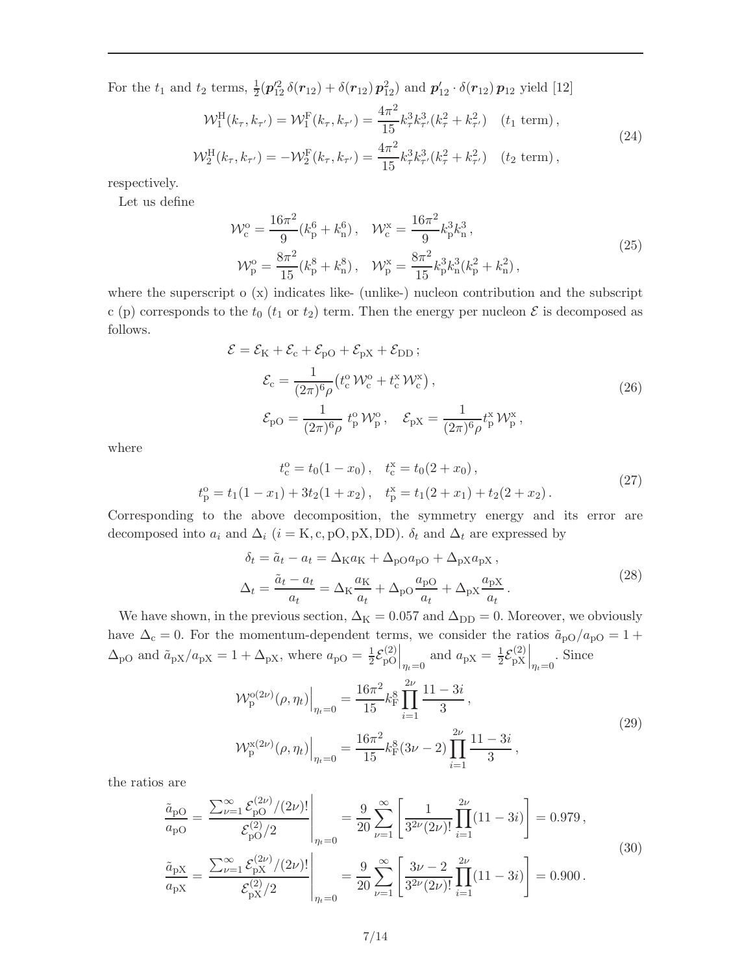For the  $t_1$  and  $t_2$  terms,  $\frac{1}{2}(\pmb{p}_{12}^{\prime 2} \delta(\pmb{r}_{12}) + \delta(\pmb{r}_{12}) \pmb{p}_{12}^2)$  and  $\pmb{p}_{12}^{\prime} \cdot \delta(\pmb{r}_{12}) \pmb{p}_{12}$  yield [12]

$$
\mathcal{W}_{1}^{\mathrm{H}}(k_{\tau}, k_{\tau'}) = \mathcal{W}_{1}^{\mathrm{F}}(k_{\tau}, k_{\tau'}) = \frac{4\pi^{2}}{15} k_{\tau}^{3} k_{\tau'}^{3}(k_{\tau}^{2} + k_{\tau'}^{2}) \quad (t_{1} \text{ term}),
$$
  

$$
\mathcal{W}_{2}^{\mathrm{H}}(k_{\tau}, k_{\tau'}) = -\mathcal{W}_{2}^{\mathrm{F}}(k_{\tau}, k_{\tau'}) = \frac{4\pi^{2}}{15} k_{\tau}^{3} k_{\tau'}^{3}(k_{\tau}^{2} + k_{\tau'}^{2}) \quad (t_{2} \text{ term}),
$$
\n(24)

respectively.

Let us define

$$
\mathcal{W}_{c}^{o} = \frac{16\pi^{2}}{9} (k_{p}^{6} + k_{n}^{6}), \quad \mathcal{W}_{c}^{x} = \frac{16\pi^{2}}{9} k_{p}^{3} k_{n}^{3},
$$
  

$$
\mathcal{W}_{p}^{o} = \frac{8\pi^{2}}{15} (k_{p}^{8} + k_{n}^{8}), \quad \mathcal{W}_{p}^{x} = \frac{8\pi^{2}}{15} k_{p}^{3} k_{n}^{3} (k_{p}^{2} + k_{n}^{2}),
$$
 (25)

where the superscript  $o(x)$  indicates like- (unlike-) nucleon contribution and the subscript c (p) corresponds to the  $t_0$  ( $t_1$  or  $t_2$ ) term. Then the energy per nucleon  $\mathcal E$  is decomposed as follows.

$$
\mathcal{E} = \mathcal{E}_{K} + \mathcal{E}_{c} + \mathcal{E}_{pO} + \mathcal{E}_{pX} + \mathcal{E}_{DD};
$$
  
\n
$$
\mathcal{E}_{c} = \frac{1}{(2\pi)^{6}\rho} (t_{c}^{0} \mathcal{W}_{c}^{0} + t_{c}^{x} \mathcal{W}_{c}^{x}),
$$
  
\n
$$
\mathcal{E}_{pO} = \frac{1}{(2\pi)^{6}\rho} t_{p}^{0} \mathcal{W}_{p}^{0}, \quad \mathcal{E}_{pX} = \frac{1}{(2\pi)^{6}\rho} t_{p}^{x} \mathcal{W}_{p}^{x},
$$
\n(26)

where

$$
t_c^0 = t_0(1 - x_0), \quad t_c^x = t_0(2 + x_0),
$$
  
\n
$$
t_p^0 = t_1(1 - x_1) + 3t_2(1 + x_2), \quad t_p^x = t_1(2 + x_1) + t_2(2 + x_2).
$$
\n(27)

Corresponding to the above decomposition, the symmetry energy and its error are decomposed into  $a_i$  and  $\Delta_i$  (i = K, c, pO, pX, DD).  $\delta_t$  and  $\Delta_t$  are expressed by

$$
\delta_t = \tilde{a}_t - a_t = \Delta_{\rm K} a_{\rm K} + \Delta_{\rm pO} a_{\rm pO} + \Delta_{\rm pX} a_{\rm pX} ,
$$
  

$$
\Delta_t = \frac{\tilde{a}_t - a_t}{a_t} = \Delta_{\rm K} \frac{a_{\rm K}}{a_t} + \Delta_{\rm pO} \frac{a_{\rm pO}}{a_t} + \Delta_{\rm pX} \frac{a_{\rm pX}}{a_t} .
$$
 (28)

We have shown, in the previous section,  $\Delta_{\rm K} = 0.057$  and  $\Delta_{\rm DD} = 0$ . Moreover, we obviously have  $\Delta_c = 0$ . For the momentum-dependent terms, we consider the ratios  $\tilde{a}_{\rm pO}/a_{\rm pO} = 1 +$  $\Delta_{\rm pO}$  and  $\tilde{a}_{\rm pX}/a_{\rm pX} = 1 + \Delta_{\rm pX}$ , where  $a_{\rm pO} = \frac{1}{2} \mathcal{E}_{\rm pO}^{(2)}$  $\binom{2}{pO}\Big|_{\eta_t=0}$  and  $a_{pX} = \frac{1}{2} \mathcal{E}_{pX}^{(2)}$  $\begin{bmatrix} \textbf{p} \textbf{p} \textbf{p} \textbf{p} \textbf{p} \end{bmatrix}_{\eta_t=0}$ . Since

$$
\mathcal{W}_{\mathbf{p}}^{\mathbf{p}(2\nu)}(\rho,\eta_t)\Big|_{\eta_t=0} = \frac{16\pi^2}{15} k_{\mathbf{F}}^8 \prod_{i=1}^{2\nu} \frac{11-3i}{3},
$$
\n
$$
\mathcal{W}_{\mathbf{p}}^{\mathbf{x}(2\nu)}(\rho,\eta_t)\Big|_{\eta_t=0} = \frac{16\pi^2}{15} k_{\mathbf{F}}^8 (3\nu - 2) \prod_{i=1}^{2\nu} \frac{11-3i}{3},
$$
\n(29)

the ratios are

$$
\frac{\tilde{a}_{\rm pO}}{a_{\rm pO}} = \frac{\sum_{\nu=1}^{\infty} \mathcal{E}_{\rm pO}^{(2\nu)}/(2\nu)!}{\mathcal{E}_{\rm pO}^{(2)}/2} \Big|_{\eta_t=0} = \frac{9}{20} \sum_{\nu=1}^{\infty} \left[ \frac{1}{3^{2\nu}(2\nu)!} \prod_{i=1}^{2\nu} (11-3i) \right] = 0.979,
$$
\n
$$
\frac{\tilde{a}_{\rm pX}}{a_{\rm pX}} = \frac{\sum_{\nu=1}^{\infty} \mathcal{E}_{\rm pX}^{(2\nu)}/(2\nu)!}{\mathcal{E}_{\rm pX}^{(2)}/2} \Big|_{\eta_t=0} = \frac{9}{20} \sum_{\nu=1}^{\infty} \left[ \frac{3\nu - 2}{3^{2\nu}(2\nu)!} \prod_{i=1}^{2\nu} (11-3i) \right] = 0.900.
$$
\n(30)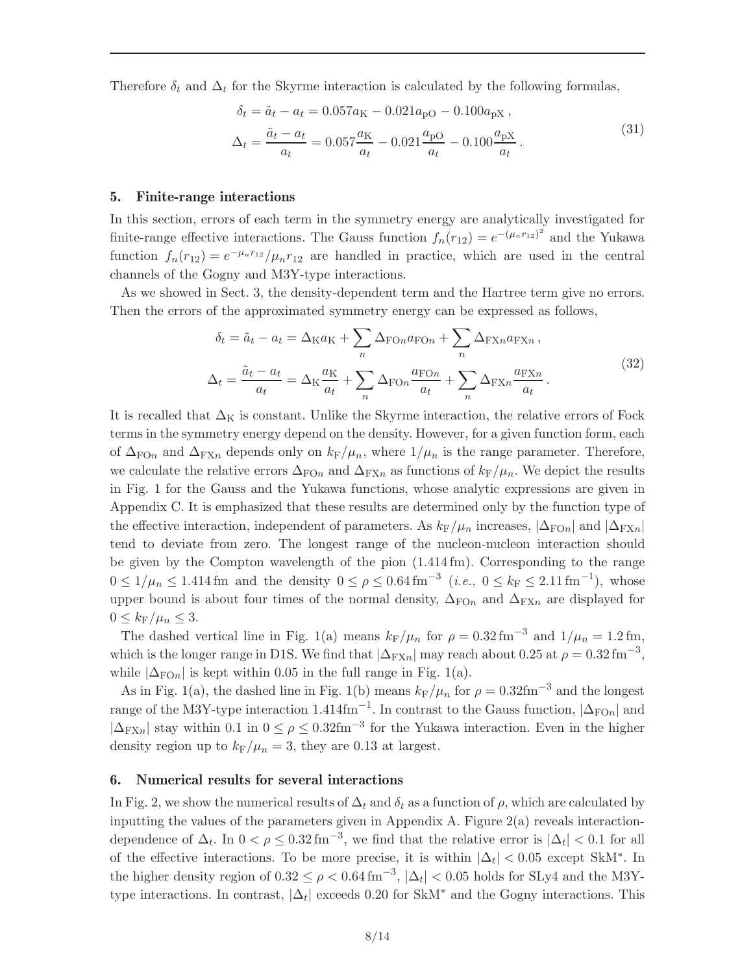Therefore  $\delta_t$  and  $\Delta_t$  for the Skyrme interaction is calculated by the following formulas,

$$
\delta_t = \tilde{a}_t - a_t = 0.057a_K - 0.021a_{pO} - 0.100a_{pX},
$$
  
\n
$$
\Delta_t = \frac{\tilde{a}_t - a_t}{a_t} = 0.057\frac{a_K}{a_t} - 0.021\frac{a_{pO}}{a_t} - 0.100\frac{a_{pX}}{a_t}.
$$
\n(31)

#### 5. Finite-range interactions

In this section, errors of each term in the symmetry energy are analytically investigated for finite-range effective interactions. The Gauss function  $f_n(r_{12}) = e^{-(\mu_n r_{12})^2}$  and the Yukawa function  $f_n(r_{12}) = e^{-\mu_n r_{12}}/\mu_n r_{12}$  are handled in practice, which are used in the central channels of the Gogny and M3Y-type interactions.

As we showed in Sect. 3, the density-dependent term and the Hartree term give no errors. Then the errors of the approximated symmetry energy can be expressed as follows,

$$
\delta_t = \tilde{a}_t - a_t = \Delta_{\text{K}} a_{\text{K}} + \sum_n \Delta_{\text{FOn}} a_{\text{FOn}} + \sum_n \Delta_{\text{FX}n} a_{\text{FX}n} ,
$$

$$
\Delta_t = \frac{\tilde{a}_t - a_t}{a_t} = \Delta_{\text{K}} \frac{a_{\text{K}}}{a_t} + \sum_n \Delta_{\text{FOn}} \frac{a_{\text{FOn}}}{a_t} + \sum_n \Delta_{\text{FX}n} \frac{a_{\text{FX}n}}{a_t} .
$$
(32)

It is recalled that  $\Delta_K$  is constant. Unlike the Skyrme interaction, the relative errors of Fock terms in the symmetry energy depend on the density. However, for a given function form, each of  $\Delta_{\text{FOn}}$  and  $\Delta_{\text{FXn}}$  depends only on  $k_F/\mu_n$ , where  $1/\mu_n$  is the range parameter. Therefore, we calculate the relative errors  $\Delta_{\text{FOn}}$  and  $\Delta_{\text{FX}_n}$  as functions of  $k_{\text{F}}/\mu_n$ . We depict the results in Fig. 1 for the Gauss and the Yukawa functions, whose analytic expressions are given in Appendix C. It is emphasized that these results are determined only by the function type of the effective interaction, independent of parameters. As  $k_F/\mu_n$  increases,  $|\Delta_{\text{FOn}}|$  and  $|\Delta_{\text{FX}}|$ tend to deviate from zero. The longest range of the nucleon-nucleon interaction should be given by the Compton wavelength of the pion (1.414 fm). Corresponding to the range  $0 \leq 1/\mu_n \leq 1.414$  fm and the density  $0 \leq \rho \leq 0.64$  fm<sup>-3</sup> (*i.e.*,  $0 \leq k_F \leq 2.11$  fm<sup>-1</sup>), whose upper bound is about four times of the normal density,  $\Delta_{FOn}$  and  $\Delta_{FXn}$  are displayed for  $0 \leq k_{\rm F}/\mu_n \leq 3$ .

The dashed vertical line in Fig. 1(a) means  $k_F/\mu_n$  for  $\rho = 0.32 \text{ fm}^{-3}$  and  $1/\mu_n = 1.2 \text{ fm}$ , which is the longer range in D1S. We find that  $|\Delta_{\text{FX}n}|$  may reach about 0.25 at  $\rho = 0.32 \text{ fm}^{-3}$ , while  $|\Delta_{\text{FOn}}|$  is kept within 0.05 in the full range in Fig. 1(a).

As in Fig. 1(a), the dashed line in Fig. 1(b) means  $k_F/\mu_n$  for  $\rho = 0.32 \text{fm}^{-3}$  and the longest range of the M3Y-type interaction 1.414fm<sup>-1</sup>. In contrast to the Gauss function,  $|\Delta_{\text{FOn}}|$  and  $|\Delta_{\text{FXn}}|$  stay within 0.1 in  $0 \le \rho \le 0.32 \text{fm}^{-3}$  for the Yukawa interaction. Even in the higher density region up to  $k_F/\mu_n = 3$ , they are 0.13 at largest.

#### 6. Numerical results for several interactions

In Fig. 2, we show the numerical results of  $\Delta_t$  and  $\delta_t$  as a function of  $\rho$ , which are calculated by inputting the values of the parameters given in Appendix A. Figure  $2(a)$  reveals interactiondependence of  $\Delta_t$ . In  $0 < \rho \leq 0.32 \,\mathrm{fm}^{-3}$ , we find that the relative error is  $|\Delta_t| < 0.1$  for all of the effective interactions. To be more precise, it is within  $|\Delta_t| < 0.05$  except SkM<sup>\*</sup>. In the higher density region of  $0.32 \le \rho < 0.64 \,\mathrm{fm}^{-3}$ ,  $|\Delta_t| < 0.05$  holds for SLy4 and the M3Ytype interactions. In contrast,  $|\Delta_t|$  exceeds 0.20 for SkM<sup>\*</sup> and the Gogny interactions. This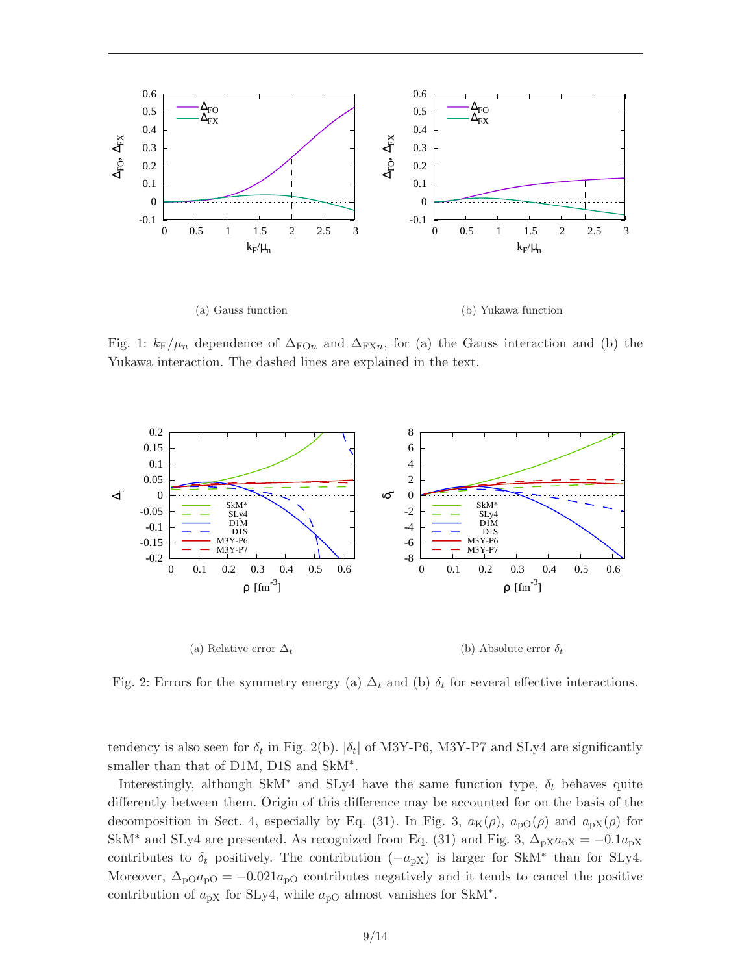

Fig. 1:  $k_F/\mu_n$  dependence of  $\Delta_{FOn}$  and  $\Delta_{FXn}$ , for (a) the Gauss interaction and (b) the Yukawa interaction. The dashed lines are explained in the text.



Fig. 2: Errors for the symmetry energy (a)  $\Delta_t$  and (b)  $\delta_t$  for several effective interactions.

tendency is also seen for  $\delta_t$  in Fig. 2(b).  $|\delta_t|$  of M3Y-P6, M3Y-P7 and SLy4 are significantly smaller than that of D1M, D1S and SkM<sup>∗</sup> .

Interestingly, although SkM<sup>∗</sup> and SLy4 have the same function type,  $\delta_t$  behaves quite differently between them. Origin of this difference may be accounted for on the basis of the decomposition in Sect. 4, especially by Eq. (31). In Fig. 3,  $a_K(\rho)$ ,  $a_{p0}(\rho)$  and  $a_{pX}(\rho)$  for SkM<sup>\*</sup> and SLy4 are presented. As recognized from Eq. (31) and Fig. 3,  $\Delta_{pX}a_{pX} = -0.1a_{pX}$ contributes to  $\delta_t$  positively. The contribution  $(-a_{pX})$  is larger for SkM<sup>\*</sup> than for SLy4. Moreover,  $\Delta_{\rm pO}a_{\rm pO} = -0.021a_{\rm pO}$  contributes negatively and it tends to cancel the positive contribution of  $a_{pX}$  for SLy4, while  $a_{pO}$  almost vanishes for SkM<sup>\*</sup>.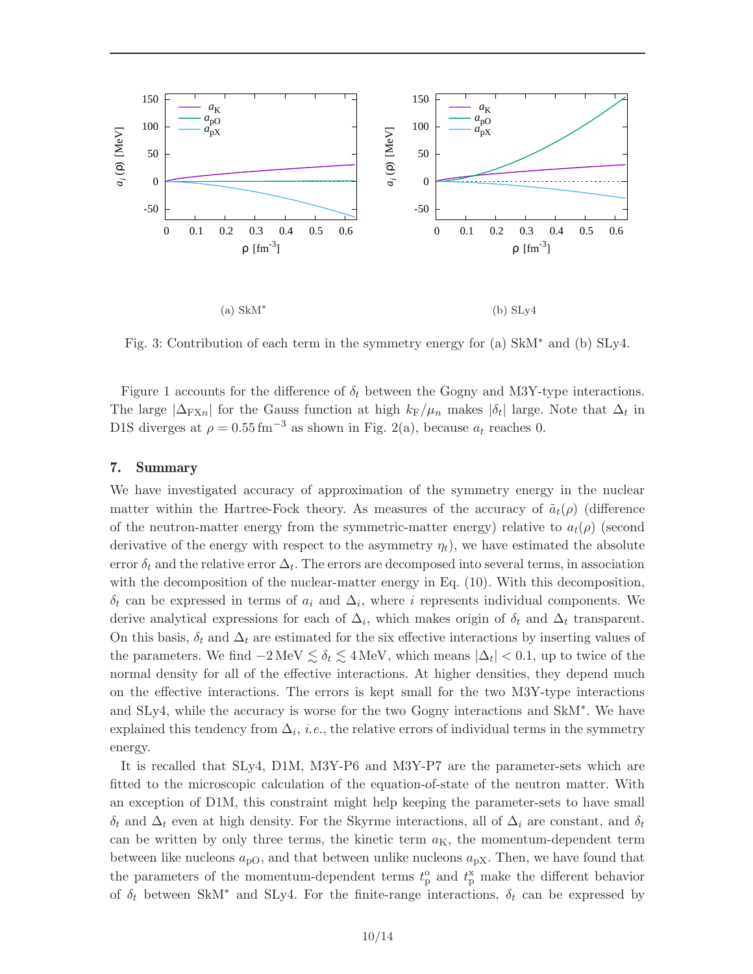

Fig. 3: Contribution of each term in the symmetry energy for (a) SkM<sup>∗</sup> and (b) SLy4.

Figure 1 accounts for the difference of  $\delta_t$  between the Gogny and M3Y-type interactions. The large  $|\Delta_{\text{FXn}}|$  for the Gauss function at high  $k_F/\mu_n$  makes  $|\delta_t|$  large. Note that  $\Delta_t$  in D1S diverges at  $\rho = 0.55 \,\text{fm}^{-3}$  as shown in Fig. 2(a), because  $a_t$  reaches 0.

#### 7. Summary

We have investigated accuracy of approximation of the symmetry energy in the nuclear matter within the Hartree-Fock theory. As measures of the accuracy of  $\tilde{a}_t(\rho)$  (difference of the neutron-matter energy from the symmetric-matter energy) relative to  $a_t(\rho)$  (second derivative of the energy with respect to the asymmetry  $\eta_t$ , we have estimated the absolute error  $\delta_t$  and the relative error  $\Delta_t$ . The errors are decomposed into several terms, in association with the decomposition of the nuclear-matter energy in Eq. (10). With this decomposition,  $\delta_t$  can be expressed in terms of  $a_i$  and  $\Delta_i$ , where i represents individual components. We derive analytical expressions for each of  $\Delta_i$ , which makes origin of  $\delta_t$  and  $\Delta_t$  transparent. On this basis,  $\delta_t$  and  $\Delta_t$  are estimated for the six effective interactions by inserting values of the parameters. We find  $-2 \text{ MeV} \lesssim \delta_t \lesssim 4 \text{ MeV}$ , which means  $|\Delta_t| < 0.1$ , up to twice of the normal density for all of the effective interactions. At higher densities, they depend much on the effective interactions. The errors is kept small for the two M3Y-type interactions and SLy4, while the accuracy is worse for the two Gogny interactions and SkM<sup>∗</sup> . We have explained this tendency from  $\Delta_i$ , *i.e.*, the relative errors of individual terms in the symmetry energy.

It is recalled that SLy4, D1M, M3Y-P6 and M3Y-P7 are the parameter-sets which are fitted to the microscopic calculation of the equation-of-state of the neutron matter. With an exception of D1M, this constraint might help keeping the parameter-sets to have small  $\delta_t$  and  $\Delta_t$  even at high density. For the Skyrme interactions, all of  $\Delta_i$  are constant, and  $\delta_t$ can be written by only three terms, the kinetic term  $a<sub>K</sub>$ , the momentum-dependent term between like nucleons  $a_{\text{pO}}$ , and that between unlike nucleons  $a_{\text{pX}}$ . Then, we have found that the parameters of the momentum-dependent terms  $t_{\rm p}^{\rm o}$  and  $t_{\rm p}^{\rm x}$  make the different behavior of  $\delta_t$  between SkM<sup>\*</sup> and SLy4. For the finite-range interactions,  $\delta_t$  can be expressed by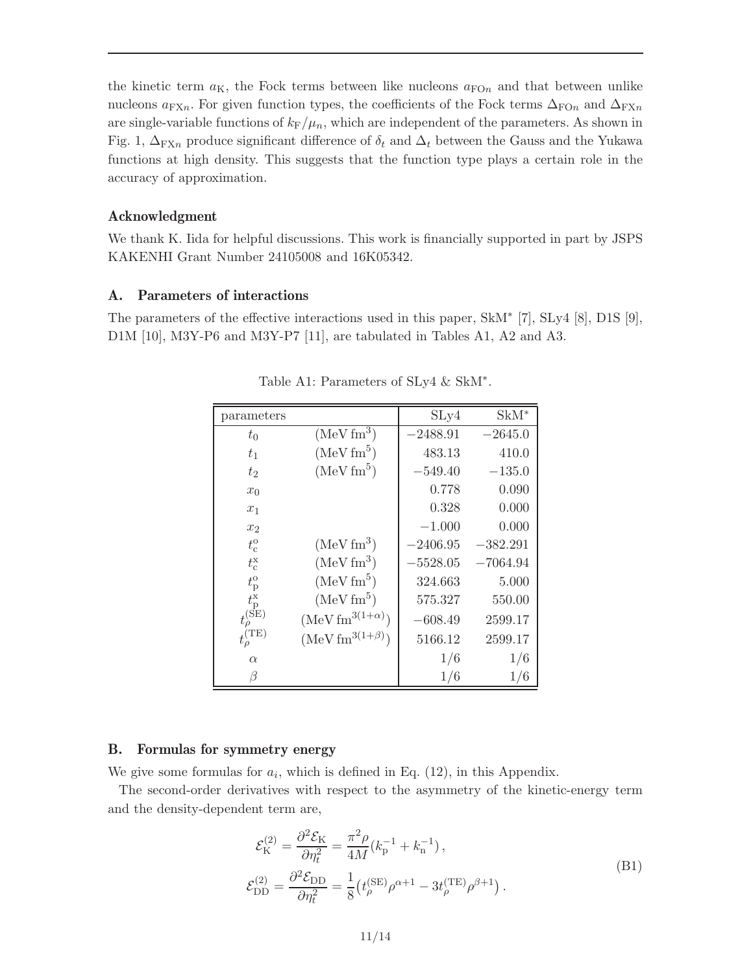the kinetic term  $a_K$ , the Fock terms between like nucleons  $a_{\text{FO}}$  and that between unlike nucleons  $a_{\text{FX}}$ . For given function types, the coefficients of the Fock terms  $\Delta_{\text{FO}}$  and  $\Delta_{\text{FX}}$ are single-variable functions of  $k_F/\mu_n$ , which are independent of the parameters. As shown in Fig. 1,  $\Delta_{\text{FXn}}$  produce significant difference of  $\delta_t$  and  $\Delta_t$  between the Gauss and the Yukawa functions at high density. This suggests that the function type plays a certain role in the accuracy of approximation.

#### Acknowledgment

We thank K. Iida for helpful discussions. This work is financially supported in part by JSPS KAKENHI Grant Number 24105008 and 16K05342.

## A. Parameters of interactions

The parameters of the effective interactions used in this paper, SkM<sup>∗</sup> [7], SLy4 [8], D1S [9], D1M [10], M3Y-P6 and M3Y-P7 [11], are tabulated in Tables A1, A2 and A3.

| parameters                                                             |                          | SLy4       | $SkM^*$    |
|------------------------------------------------------------------------|--------------------------|------------|------------|
| $t_{0}$                                                                | $(MeV fm^3)$             | $-2488.91$ | $-2645.0$  |
| $t_1$                                                                  | $(MeV fm^5)$             | 483.13     | 410.0      |
| $t_2$                                                                  | (MeV fm <sup>5</sup> )   | $-549.40$  | $-135.0$   |
| $x_0$                                                                  |                          | 0.778      | 0.090      |
| $x_1$                                                                  |                          | 0.328      | 0.000      |
| x <sub>2</sub>                                                         |                          | $-1.000$   | 0.000      |
| $t_{\rm c}^{\rm o}$                                                    | $(MeV fm^3)$             | $-2406.95$ | $-382.291$ |
| $t_c^{\rm x}$                                                          | $(MeV fm^3)$             | $-5528.05$ | $-7064.94$ |
| $t_{\rm p}^{\rm o}$                                                    | $(MeV fm^5)$             | 324.663    | 5.000      |
| $t_{\rm p}^{\rm x}$                                                    | $(MeV fm^5)$             | 575.327    | 550.00     |
| $t_{\rho}^{(\stackrel{\mathbf{P}}{\phantom{\scriptsize}\mathbf{SE}})}$ | $(MeV fm^{3(1+\alpha)})$ | $-608.49$  | 2599.17    |
| $t_{\rho}^{\rm (TE)}$                                                  | $(Mev fm^{3(1+\beta)})$  | 5166.12    | 2599.17    |
| $\alpha$                                                               |                          | 1/6        | 1/6        |
| B                                                                      |                          | 1/6        | 1/6        |

Table A1: Parameters of SLy4 & SkM<sup>∗</sup> .

# B. Formulas for symmetry energy

We give some formulas for  $a_i$ , which is defined in Eq. (12), in this Appendix.

The second-order derivatives with respect to the asymmetry of the kinetic-energy term and the density-dependent term are,

$$
\mathcal{E}_{\mathrm{K}}^{(2)} = \frac{\partial^2 \mathcal{E}_{\mathrm{K}}}{\partial \eta_t^2} = \frac{\pi^2 \rho}{4M} (k_{\mathrm{p}}^{-1} + k_{\mathrm{n}}^{-1}),
$$
\n
$$
\mathcal{E}_{\mathrm{DD}}^{(2)} = \frac{\partial^2 \mathcal{E}_{\mathrm{DD}}}{\partial \eta_t^2} = \frac{1}{8} \left( t_{\rho}^{\mathrm{(SE)}} \rho^{\alpha+1} - 3t_{\rho}^{\mathrm{(TE)}} \rho^{\beta+1} \right).
$$
\n(B1)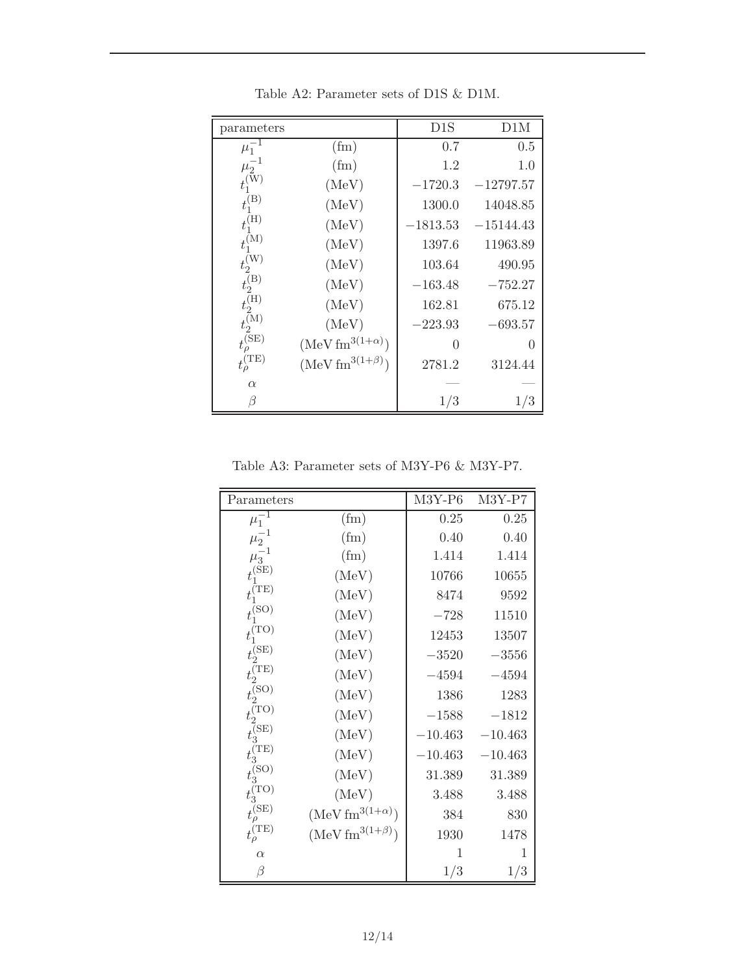| parameters                   |                                         | D1S        | D1M         |
|------------------------------|-----------------------------------------|------------|-------------|
| $\mu_1^{-1}$                 | (f <sub>m</sub> )                       | 0.7        | 0.5         |
| $\mu_2^{-1}$                 | (f <sub>m</sub> )                       | 1.2        | 1.0         |
| $t_1^{(\mathrm{\tilde{W}})}$ | (MeV)                                   | $-1720.3$  | $-12797.57$ |
| $t_1^{(B)}$                  | (MeV)                                   | 1300.0     | 14048.85    |
| $t_1^{(H)}$                  | (MeV)                                   | $-1813.53$ | $-15144.43$ |
| $t_1^{(M)}$                  | (MeV)                                   | 1397.6     | 11963.89    |
| $t_2^{\rm (W)}$              | (MeV)                                   | 103.64     | 490.95      |
| $t_2^{(B)}$                  | (MeV)                                   | $-163.48$  | $-752.27$   |
| $t_2^{(H)}$                  | (MeV)                                   | 162.81     | 675.12      |
| $t_{2}^{\rm (M)}$            | (MeV)                                   | $-223.93$  | $-693.57$   |
| $t_{\rho}^{\rm (SE)}$        | $(\text{MeV}\,\text{fm}^{3(1+\alpha)})$ | 0          | 0           |
| $t_{\rho}^{\rm (TE)}$        | $(\text{MeV fm}^{3(1+\beta)})$          | 2781.2     | 3124.44     |
| $\alpha$                     |                                         |            |             |
| B                            |                                         | 1/3        | 1/3         |

Table A2: Parameter sets of D1S & D1M.

Table A3: Parameter sets of M3Y-P6 & M3Y-P7.

| Parameters                                 |                                 | $M3Y-P6$  | M3Y-P7    |
|--------------------------------------------|---------------------------------|-----------|-----------|
| $\mu_1^{-1}$                               | (f <sub>m</sub> )               | 0.25      | 0.25      |
| $\mu_2^{-1}$                               | (fm)                            | 0.40      | 0.40      |
| $\mu_3^{-1}$                               | (f <sub>m</sub> )               | 1.414     | 1.414     |
| $t_1^{\rm (SE)}$                           | (MeV)                           | 10766     | 10655     |
| $t_1^{\rm (TE)}$                           | (MeV)                           | 8474      | 9592      |
| $t_1^{\rm (SO)}$                           | (MeV)                           | $-728$    | 11510     |
| $t_{1}^{\rm (TO)}$                         | (MeV)                           | 12453     | 13507     |
|                                            | (MeV)                           | $-3520$   | $-3556$   |
| $t_2^{\text{(SE)}}$<br>$t_2^{\text{(TE)}}$ | (MeV)                           | $-4594$   | $-4594$   |
| $t_2^{\rm (SO)}$                           | (MeV)                           | 1386      | 1283      |
| $t_{2}^{\left( \mathrm{TO}\right) }$       | (MeV)                           | $-1588$   | $-1812$   |
| $t_3^{\text{(SE)}}$<br>$t_3^{\text{(TE)}}$ | (MeV)                           | $-10.463$ | $-10.463$ |
|                                            | (MeV)                           | $-10.463$ | $-10.463$ |
| $t_{3}^{\left( \text{SO}\right) }$         | (MeV)                           | 31.389    | 31.389    |
| $t_3^{\rm (TO)}$                           | (MeV)                           | 3.488     | 3.488     |
| $t_{\rho}^{\rm (SE)}$                      | $(\text{MeV fm}^{3(1+\alpha)})$ | 384       | 830       |
| $t_{\rho}^{\rm (TE)}$                      | $(\text{MeV fm}^{3(1+\beta)})$  | 1930      | 1478      |
| $\alpha$                                   |                                 | 1         | 1         |
| $\beta$                                    |                                 | 1/3       | 1/3       |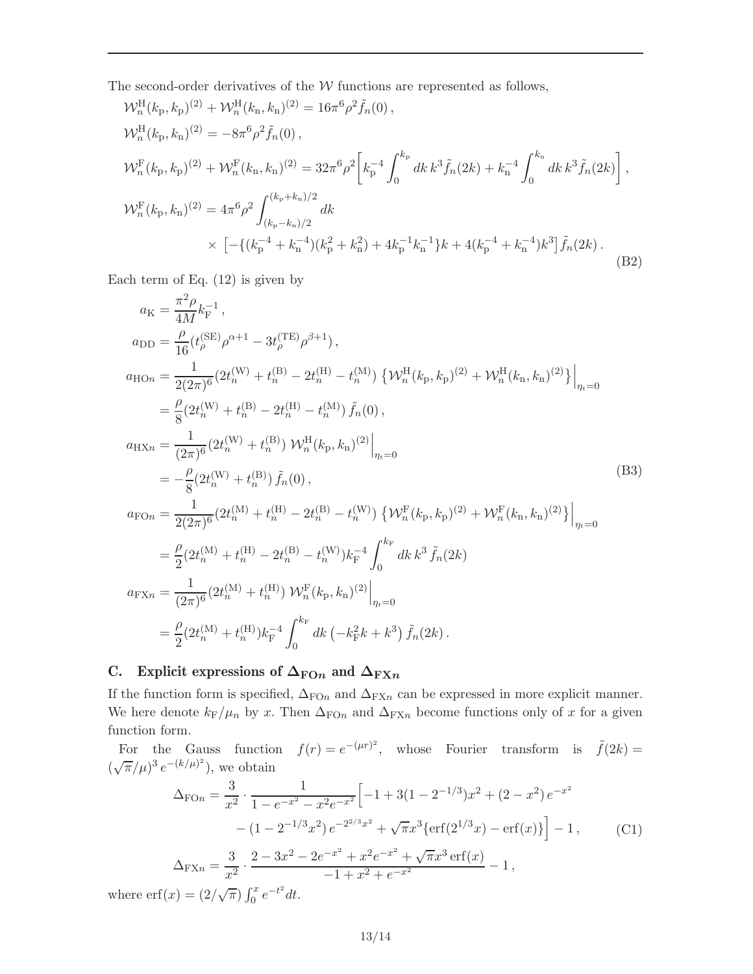The second-order derivatives of the  $W$  functions are represented as follows,

$$
\mathcal{W}_{n}^{\text{H}}(k_{\text{p}},k_{\text{p}})^{(2)} + \mathcal{W}_{n}^{\text{H}}(k_{\text{n}},k_{\text{n}})^{(2)} = 16\pi^{6}\rho^{2}\tilde{f}_{n}(0),
$$
\n
$$
\mathcal{W}_{n}^{\text{H}}(k_{\text{p}},k_{\text{n}})^{(2)} = -8\pi^{6}\rho^{2}\tilde{f}_{n}(0),
$$
\n
$$
\mathcal{W}_{n}^{\text{F}}(k_{\text{p}},k_{\text{p}})^{(2)} + \mathcal{W}_{n}^{\text{F}}(k_{\text{n}},k_{\text{n}})^{(2)} = 32\pi^{6}\rho^{2}\left[k_{\text{p}}^{-4}\int_{0}^{k_{\text{p}}}dk k^{3}\tilde{f}_{n}(2k) + k_{\text{n}}^{-4}\int_{0}^{k_{\text{n}}}dk k^{3}\tilde{f}_{n}(2k)\right],
$$
\n
$$
\mathcal{W}_{n}^{\text{F}}(k_{\text{p}},k_{\text{n}})^{(2)} = 4\pi^{6}\rho^{2}\int_{(k_{\text{p}}-k_{\text{n}})/2}^{(k_{\text{p}}+k_{\text{n}})/2} dk
$$
\n
$$
\times \left[ -\left\{ (k_{\text{p}}^{-4} + k_{\text{n}}^{-4})(k_{\text{p}}^{2} + k_{\text{n}}^{2}) + 4k_{\text{p}}^{-1}k_{\text{n}}^{-1} \right\}k + 4(k_{\text{p}}^{-4} + k_{\text{n}}^{-4})k^{3}\right]\tilde{f}_{n}(2k).
$$
\n(B2)

Each term of Eq.  $(12)$  is given by

$$
a_{\rm K} = \frac{\pi^2 \rho}{4M} k_{\rm F}^{-1},
$$
  
\n
$$
a_{\rm DD} = \frac{\rho}{16} (t_{\rho}^{\rm (SE)} \rho^{\alpha+1} - 3t_{\rho}^{\rm (TE)} \rho^{\beta+1}),
$$
  
\n
$$
a_{\rm HOn} = \frac{1}{2(2\pi)^6} (2t_n^{\rm (W)} + t_n^{\rm (B)} - 2t_n^{\rm (H)} - t_n^{\rm (M)}) \left\{ \mathcal{W}_n^{\rm H}(k_p, k_p)^{(2)} + \mathcal{W}_n^{\rm H}(k_n, k_n)^{(2)} \right\}\Big|_{\eta_t=0}
$$
  
\n
$$
= \frac{\rho}{8} (2t_n^{\rm (W)} + t_n^{\rm (B)} - 2t_n^{\rm (H)} - t_n^{\rm (M)}) \tilde{f}_n(0),
$$
  
\n
$$
a_{\rm HXn} = \frac{1}{(2\pi)^6} (2t_n^{\rm (W)} + t_n^{\rm (B)}) \mathcal{W}_n^{\rm H}(k_p, k_n)^{(2)}\Big|_{\eta_t=0}
$$
  
\n
$$
= -\frac{\rho}{8} (2t_n^{\rm (W)} + t_n^{\rm (B)}) \tilde{f}_n(0),
$$
  
\n
$$
a_{\rm FOn} = \frac{1}{2(2\pi)^6} (2t_n^{\rm (M)} + t_n^{\rm (H)} - 2t_n^{\rm (B)} - t_n^{\rm (W)}) \left\{ \mathcal{W}_n^{\rm F}(k_p, k_p)^{(2)} + \mathcal{W}_n^{\rm F}(k_n, k_n)^{(2)} \right\}\Big|_{\eta_t=0}
$$
  
\n
$$
= \frac{\rho}{2} (2t_n^{\rm (M)} + t_n^{\rm (H)} - 2t_n^{\rm (B)} - t_n^{\rm (W)}) k_{\rm F}^{-4} \int_0^{k_{\rm F}} dk \, k^3 \, \tilde{f}_n(2k)
$$
  
\n
$$
a_{\rm FXn} = \frac{1}{(2\pi)^6} (2t_n^{\rm (M)} + t_n^{\rm (H)}) \mathcal{W}_n^{\rm F}(k_p, k_n)^{(2)}\Big|_{\eta_t=0}
$$
  
\n
$$
= \frac{\rho}{2}
$$

# C. Explicit expressions of  $\Delta_{\text{FO}n}$  and  $\Delta_{\text{FX}n}$

If the function form is specified,  $\Delta_{\text{FOn}}$  and  $\Delta_{\text{FXn}}$  can be expressed in more explicit manner. We here denote  $k_F/\mu_n$  by x. Then  $\Delta_{FOn}$  and  $\Delta_{FXn}$  become functions only of x for a given function form.

For the Gauss function  $f(r) = e^{-(\mu r)^2}$ , whose Fourier transform is  $\tilde{f}(2k) =$  $(\sqrt{\pi}/\mu)^3 e^{-(k/\mu)^2}$ , we obtain

$$
\Delta_{\text{FO}} = \frac{3}{x^2} \cdot \frac{1}{1 - e^{-x^2} - x^2 e^{-x^2}} \Big[ -1 + 3(1 - 2^{-1/3})x^2 + (2 - x^2) e^{-x^2} - (1 - 2^{-1/3}x^2) e^{-2^{2/3}x^2} + \sqrt{\pi} x^3 \{ \text{erf}(2^{1/3}x) - \text{erf}(x) \} \Big] - 1, \tag{C1}
$$
\n
$$
\Delta_{\text{FX}} = \frac{3}{x^2} \cdot \frac{2 - 3x^2 - 2e^{-x^2} + x^2 e^{-x^2} + \sqrt{\pi} x^3 \, \text{erf}(x)}{-1 + x^2 + e^{-x^2}} - 1,
$$
\n
$$
\text{erf}(x) = (2/\sqrt{\pi}) \int_x^x e^{-t^2} dt.
$$

where  $\text{erf}(x) = (2/\sqrt{\pi}) \int_0^x e^{-t^2} dt$ .